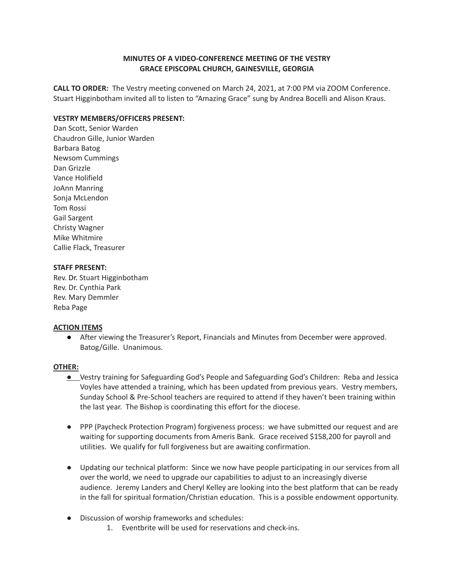# **MINUTES OF A VIDEO-CONFERENCE MEETING OF THE VESTRY GRACE EPISCOPAL CHURCH, GAINESVILLE, GEORGIA**

**CALL TO ORDER:** The Vestry meeting convened on March 24, 2021, at 7:00 PM via ZOOM Conference. Stuart Higginbotham invited all to listen to "Amazing Grace" sung by Andrea Bocelli and Alison Kraus.

## **VESTRY MEMBERS/OFFICERS PRESENT:**

Dan Scott, Senior Warden Chaudron Gille, Junior Warden Barbara Batog Newsom Cummings Dan Grizzle Vance Holifield JoAnn Manring Sonja McLendon Tom Rossi Gail Sargent Christy Wagner Mike Whitmire Callie Flack, Treasurer

## **STAFF PRESENT:**

Rev. Dr. Stuart Higginbotham Rev. Dr. Cynthia Park Rev. Mary Demmler Reba Page

### **ACTION ITEMS**

● After viewing the Treasurer's Report, Financials and Minutes from December were approved. Batog/Gille. Unanimous.

### **OTHER:**

- **●** Vestry training for Safeguarding God's People and Safeguarding God's Children: Reba and Jessica Voyles have attended a training, which has been updated from previous years. Vestry members, Sunday School & Pre-School teachers are required to attend if they haven't been training within the last year. The Bishop is coordinating this effort for the diocese.
- PPP (Paycheck Protection Program) forgiveness process: we have submitted our request and are waiting for supporting documents from Ameris Bank. Grace received \$158,200 for payroll and utilities. We qualify for full forgiveness but are awaiting confirmation.
- Updating our technical platform: Since we now have people participating in our services from all over the world, we need to upgrade our capabilities to adjust to an increasingly diverse audience. Jeremy Landers and Cheryl Kelley are looking into the best platform that can be ready in the fall for spiritual formation/Christian education. This is a possible endowment opportunity.
- Discussion of worship frameworks and schedules:
	- 1. Eventbrite will be used for reservations and check-ins.